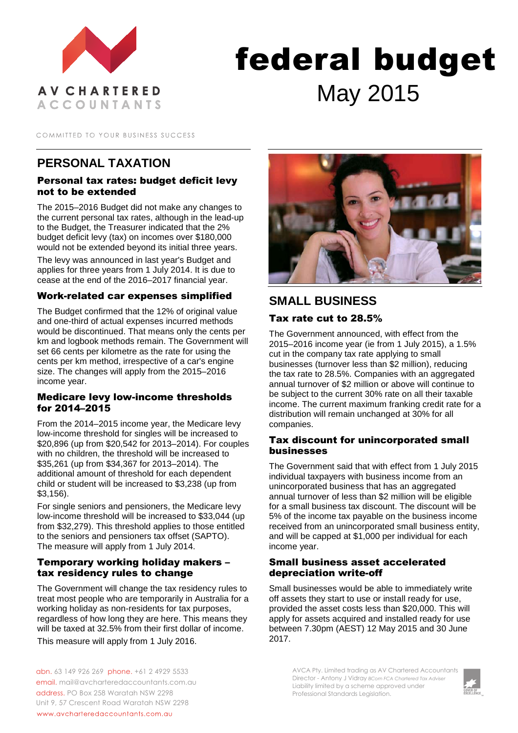

# federal budget May 2015

COMMITTED TO YOUR BUSINESS SUCCESS

# **PERSONAL TAXATION**

## Personal tax rates: budget deficit levy not to be extended

The 2015–2016 Budget did not make any changes to the current personal tax rates, although in the lead-up to the Budget, the Treasurer indicated that the 2% budget deficit levy (tax) on incomes over \$180,000 would not be extended beyond its initial three years.

The levy was announced in last year's Budget and applies for three years from 1 July 2014. It is due to cease at the end of the 2016–2017 financial year.

#### Work-related car expenses simplified

The Budget confirmed that the 12% of original value and one-third of actual expenses incurred methods would be discontinued. That means only the cents per km and logbook methods remain. The Government will set 66 cents per kilometre as the rate for using the cents per km method, irrespective of a car's engine size. The changes will apply from the 2015–2016 income year.

#### Medicare levy low-income thresholds for 2014–2015

From the 2014–2015 income year, the Medicare levy low-income threshold for singles will be increased to \$20,896 (up from \$20,542 for 2013–2014). For couples with no children, the threshold will be increased to \$35,261 (up from \$34,367 for 2013–2014). The additional amount of threshold for each dependent child or student will be increased to \$3,238 (up from \$3,156).

For single seniors and pensioners, the Medicare levy low-income threshold will be increased to \$33,044 (up from \$32,279). This threshold applies to those entitled to the seniors and pensioners tax offset (SAPTO). The measure will apply from 1 July 2014.

#### Temporary working holiday makers – tax residency rules to change

The Government will change the tax residency rules to treat most people who are temporarily in Australia for a working holiday as non-residents for tax purposes, regardless of how long they are here. This means they will be taxed at 32.5% from their first dollar of income. This measure will apply from 1 July 2016.



# **SMALL BUSINESS**

## Tax rate cut to 28.5%

The Government announced, with effect from the 2015–2016 income year (ie from 1 July 2015), a 1.5% cut in the company tax rate applying to small businesses (turnover less than \$2 million), reducing the tax rate to 28.5%. Companies with an aggregated annual turnover of \$2 million or above will continue to be subject to the current 30% rate on all their taxable income. The current maximum franking credit rate for a distribution will remain unchanged at 30% for all companies.

#### Tax discount for unincorporated small businesses

The Government said that with effect from 1 July 2015 individual taxpayers with business income from an unincorporated business that has an aggregated annual turnover of less than \$2 million will be eligible for a small business tax discount. The discount will be 5% of the income tax payable on the business income received from an unincorporated small business entity, and will be capped at \$1,000 per individual for each income year.

#### Small business asset accelerated depreciation write-off

Small businesses would be able to immediately write off assets they start to use or install ready for use, provided the asset costs less than \$20,000. This will apply for assets acquired and installed ready for use between 7.30pm (AEST) 12 May 2015 and 30 June 2017.

abn. 63 149 926 269 phone. +61 2 4929 5533 email. mail@avcharteredaccountants.com.au address. PO Box 258 Waratah NSW 2298 Unit 9, 57 Crescent Road Waratah NSW 2298 www.avcharteredaccountants.com.au

AVCA Pty. Limited trading as AV Chartered Accountants Director - Antony J Vidray *BCom FCA Chartered Tax Adviser* Liability limited by a scheme approved under Professional Standards Legislation.

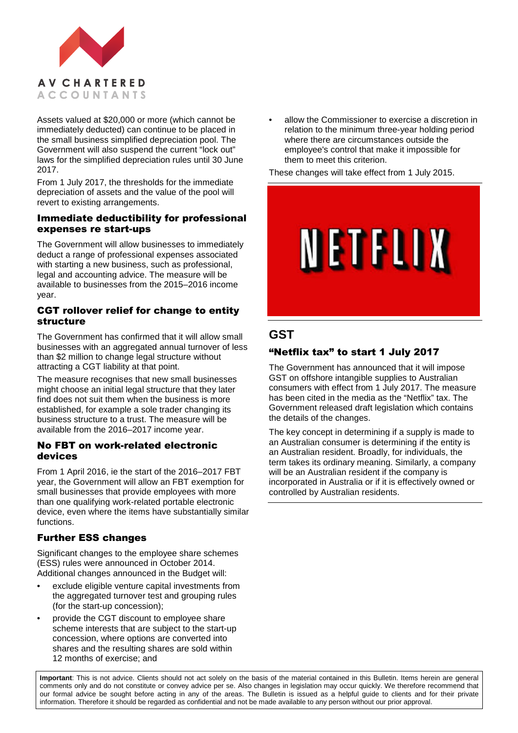

Assets valued at \$20,000 or more (which cannot be immediately deducted) can continue to be placed in the small business simplified depreciation pool. The Government will also suspend the current "lock out" laws for the simplified depreciation rules until 30 June 2017.

From 1 July 2017, the thresholds for the immediate depreciation of assets and the value of the pool will revert to existing arrangements.

#### Immediate deductibility for professional expenses re start-ups

The Government will allow businesses to immediately deduct a range of professional expenses associated with starting a new business, such as professional, legal and accounting advice. The measure will be available to businesses from the 2015–2016 income year.

#### CGT rollover relief for change to entity structure

The Government has confirmed that it will allow small businesses with an aggregated annual turnover of less than \$2 million to change legal structure without attracting a CGT liability at that point.

The measure recognises that new small businesses might choose an initial legal structure that they later find does not suit them when the business is more established, for example a sole trader changing its business structure to a trust. The measure will be available from the 2016–2017 income year.

#### No FBT on work-related electronic devices

From 1 April 2016, ie the start of the 2016–2017 FBT year, the Government will allow an FBT exemption for small businesses that provide employees with more than one qualifying work-related portable electronic device, even where the items have substantially similar functions.

## Further ESS changes

Significant changes to the employee share schemes (ESS) rules were announced in October 2014. Additional changes announced in the Budget will:

- exclude eligible venture capital investments from the aggregated turnover test and grouping rules (for the start-up concession);
- provide the CGT discount to employee share scheme interests that are subject to the start-up concession, where options are converted into shares and the resulting shares are sold within 12 months of exercise; and

• allow the Commissioner to exercise a discretion in relation to the minimum three-year holding period where there are circumstances outside the employee's control that make it impossible for them to meet this criterion.

These changes will take effect from 1 July 2015.



# **GST**

## "Netflix tax" to start 1 July 2017

The Government has announced that it will impose GST on offshore intangible supplies to Australian consumers with effect from 1 July 2017. The measure has been cited in the media as the "Netflix" tax. The Government released draft legislation which contains the details of the changes.

The key concept in determining if a supply is made to an Australian consumer is determining if the entity is an Australian resident. Broadly, for individuals, the term takes its ordinary meaning. Similarly, a company will be an Australian resident if the company is incorporated in Australia or if it is effectively owned or controlled by Australian residents.

**Important**: This is not advice. Clients should not act solely on the basis of the material contained in this Bulletin. Items herein are general comments only and do not constitute or convey advice per se. Also changes in legislation may occur quickly. We therefore recommend that our formal advice be sought before acting in any of the areas. The Bulletin is issued as a helpful guide to clients and for their private information. Therefore it should be regarded as confidential and not be made available to any person without our prior approval.